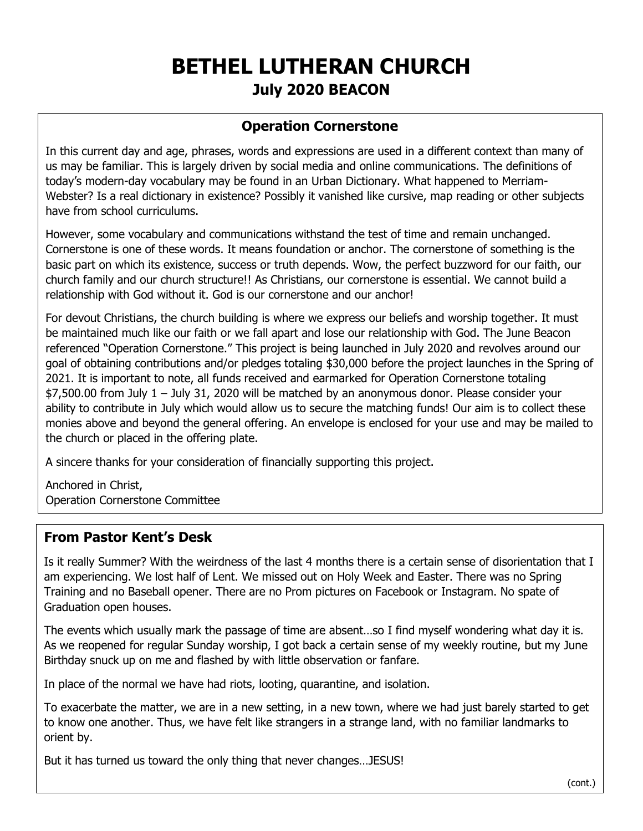# **BETHEL LUTHERAN CHURCH July 2020 BEACON**

# **Operation Cornerstone**

In this current day and age, phrases, words and expressions are used in a different context than many of us may be familiar. This is largely driven by social media and online communications. The definitions of today's modern-day vocabulary may be found in an Urban Dictionary. What happened to Merriam-Webster? Is a real dictionary in existence? Possibly it vanished like cursive, map reading or other subjects have from school curriculums.

However, some vocabulary and communications withstand the test of time and remain unchanged. Cornerstone is one of these words. It means foundation or anchor. The cornerstone of something is the basic part on which its existence, success or truth depends. Wow, the perfect buzzword for our faith, our church family and our church structure!! As Christians, our cornerstone is essential. We cannot build a relationship with God without it. God is our cornerstone and our anchor!

For devout Christians, the church building is where we express our beliefs and worship together. It must be maintained much like our faith or we fall apart and lose our relationship with God. The June Beacon referenced "Operation Cornerstone." This project is being launched in July 2020 and revolves around our goal of obtaining contributions and/or pledges totaling \$30,000 before the project launches in the Spring of 2021. It is important to note, all funds received and earmarked for Operation Cornerstone totaling \$7,500.00 from July 1 – July 31, 2020 will be matched by an anonymous donor. Please consider your ability to contribute in July which would allow us to secure the matching funds! Our aim is to collect these monies above and beyond the general offering. An envelope is enclosed for your use and may be mailed to the church or placed in the offering plate.

A sincere thanks for your consideration of financially supporting this project.

Anchored in Christ, Operation Cornerstone Committee

## **From Pastor Kent's Desk**

Is it really Summer? With the weirdness of the last 4 months there is a certain sense of disorientation that I am experiencing. We lost half of Lent. We missed out on Holy Week and Easter. There was no Spring Training and no Baseball opener. There are no Prom pictures on Facebook or Instagram. No spate of Graduation open houses.

The events which usually mark the passage of time are absent…so I find myself wondering what day it is. As we reopened for regular Sunday worship, I got back a certain sense of my weekly routine, but my June Birthday snuck up on me and flashed by with little observation or fanfare.

In place of the normal we have had riots, looting, quarantine, and isolation.

To exacerbate the matter, we are in a new setting, in a new town, where we had just barely started to get to know one another. Thus, we have felt like strangers in a strange land, with no familiar landmarks to orient by.

But it has turned us toward the only thing that never changes…JESUS!

(cont.)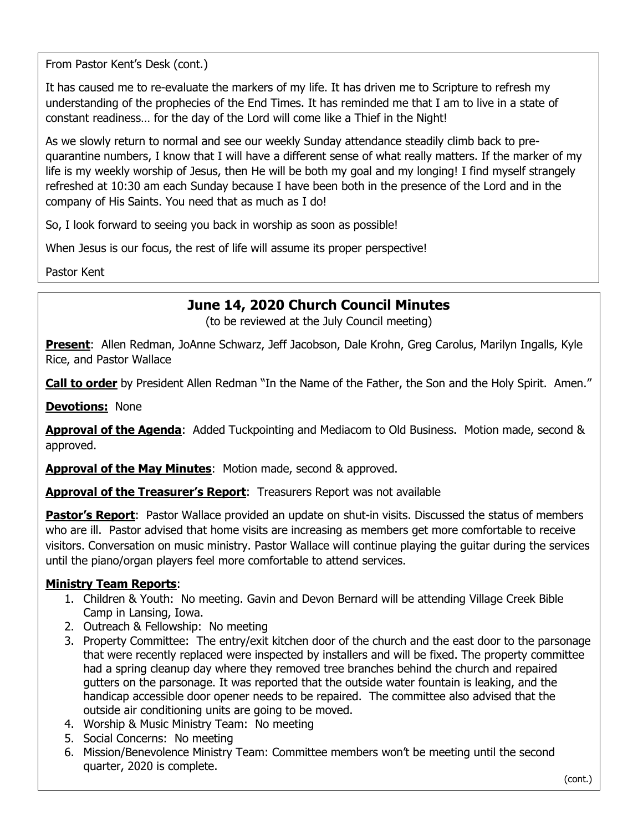From Pastor Kent's Desk (cont.)

It has caused me to re-evaluate the markers of my life. It has driven me to Scripture to refresh my understanding of the prophecies of the End Times. It has reminded me that I am to live in a state of constant readiness… for the day of the Lord will come like a Thief in the Night!

As we slowly return to normal and see our weekly Sunday attendance steadily climb back to prequarantine numbers, I know that I will have a different sense of what really matters. If the marker of my life is my weekly worship of Jesus, then He will be both my goal and my longing! I find myself strangely refreshed at 10:30 am each Sunday because I have been both in the presence of the Lord and in the company of His Saints. You need that as much as I do!

So, I look forward to seeing you back in worship as soon as possible!

When Jesus is our focus, the rest of life will assume its proper perspective!

Pastor Kent

# **June 14, 2020 Church Council Minutes**

(to be reviewed at the July Council meeting)

**Present**: Allen Redman, JoAnne Schwarz, Jeff Jacobson, Dale Krohn, Greg Carolus, Marilyn Ingalls, Kyle Rice, and Pastor Wallace

**Call to order** by President Allen Redman "In the Name of the Father, the Son and the Holy Spirit. Amen."

**Devotions:** None

Approval of the Agenda: Added Tuckpointing and Mediacom to Old Business. Motion made, second & approved.

**Approval of the May Minutes**: Motion made, second & approved.

**Approval of the Treasurer's Report**: Treasurers Report was not available

**Pastor's Report**: Pastor Wallace provided an update on shut-in visits. Discussed the status of members who are ill. Pastor advised that home visits are increasing as members get more comfortable to receive visitors. Conversation on music ministry. Pastor Wallace will continue playing the guitar during the services until the piano/organ players feel more comfortable to attend services.

#### **Ministry Team Reports**:

- 1. Children & Youth: No meeting. Gavin and Devon Bernard will be attending Village Creek Bible Camp in Lansing, Iowa.
- 2. Outreach & Fellowship: No meeting
- 3. Property Committee: The entry/exit kitchen door of the church and the east door to the parsonage that were recently replaced were inspected by installers and will be fixed. The property committee had a spring cleanup day where they removed tree branches behind the church and repaired gutters on the parsonage. It was reported that the outside water fountain is leaking, and the handicap accessible door opener needs to be repaired. The committee also advised that the outside air conditioning units are going to be moved.
- 4. Worship & Music Ministry Team: No meeting
- 5. Social Concerns: No meeting
- 6. Mission/Benevolence Ministry Team: Committee members won't be meeting until the second quarter, 2020 is complete.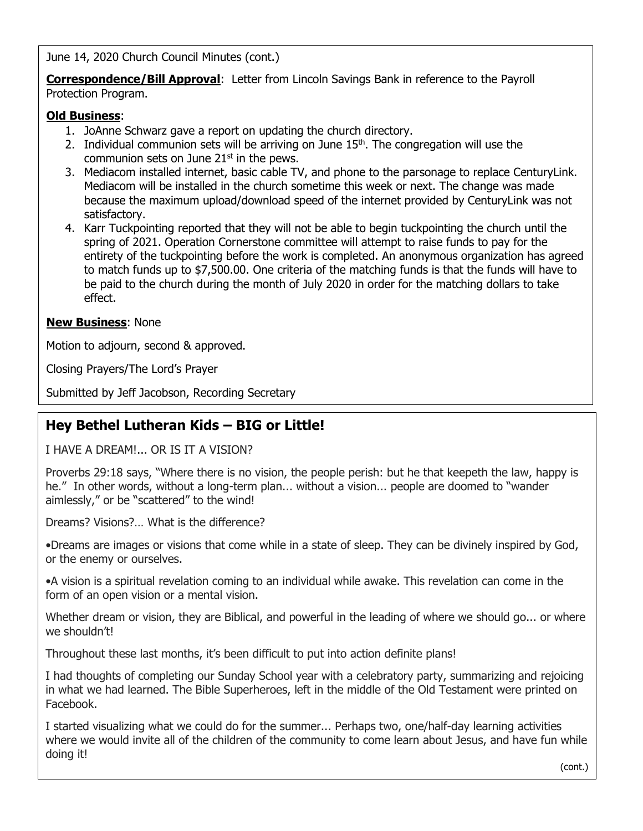June 14, 2020 Church Council Minutes (cont.)

**Correspondence/Bill Approval**: Letter from Lincoln Savings Bank in reference to the Payroll Protection Program.

#### **Old Business**:

- 1. JoAnne Schwarz gave a report on updating the church directory.
- 2. Individual communion sets will be arriving on June  $15<sup>th</sup>$ . The congregation will use the communion sets on June  $21<sup>st</sup>$  in the pews.
- 3. Mediacom installed internet, basic cable TV, and phone to the parsonage to replace CenturyLink. Mediacom will be installed in the church sometime this week or next. The change was made because the maximum upload/download speed of the internet provided by CenturyLink was not satisfactory.
- 4. Karr Tuckpointing reported that they will not be able to begin tuckpointing the church until the spring of 2021. Operation Cornerstone committee will attempt to raise funds to pay for the entirety of the tuckpointing before the work is completed. An anonymous organization has agreed to match funds up to \$7,500.00. One criteria of the matching funds is that the funds will have to be paid to the church during the month of July 2020 in order for the matching dollars to take effect.

#### **New Business**: None

Motion to adjourn, second & approved.

Closing Prayers/The Lord's Prayer

Submitted by Jeff Jacobson, Recording Secretary

# **Hey Bethel Lutheran Kids – BIG or Little!**

I HAVE A DREAM!... OR IS IT A VISION?

Proverbs 29:18 says, "Where there is no vision, the people perish: but he that keepeth the law, happy is he." In other words, without a long-term plan... without a vision... people are doomed to "wander aimlessly," or be "scattered" to the wind!

Dreams? Visions?… What is the difference?

•Dreams are images or visions that come while in a state of sleep. They can be divinely inspired by God, or the enemy or ourselves.

•A vision is a spiritual revelation coming to an individual while awake. This revelation can come in the form of an open vision or a mental vision.

Whether dream or vision, they are Biblical, and powerful in the leading of where we should go... or where we shouldn't!

Throughout these last months, it's been difficult to put into action definite plans!

I had thoughts of completing our Sunday School year with a celebratory party, summarizing and rejoicing in what we had learned. The Bible Superheroes, left in the middle of the Old Testament were printed on Facebook.

I started visualizing what we could do for the summer... Perhaps two, one/half-day learning activities where we would invite all of the children of the community to come learn about Jesus, and have fun while doing it!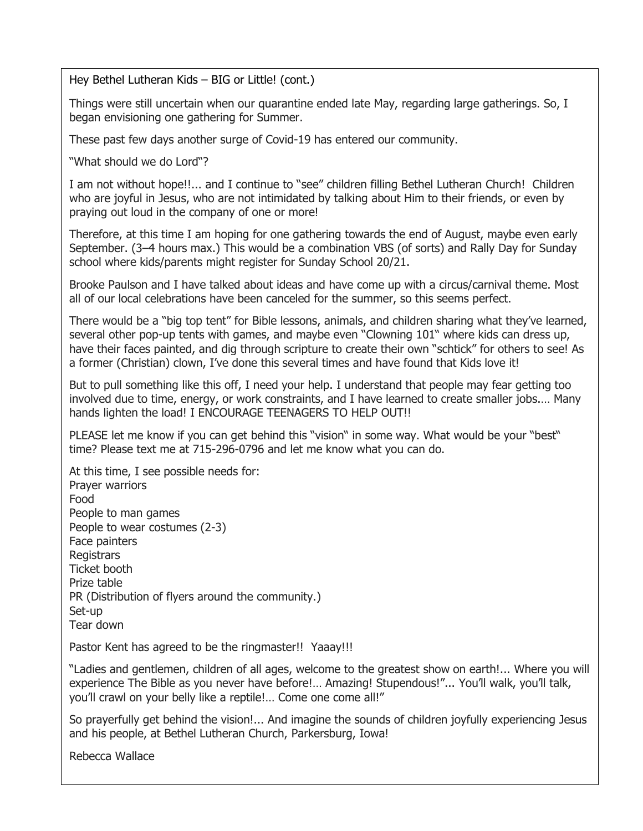Hey Bethel Lutheran Kids – BIG or Little! (cont.)

Things were still uncertain when our quarantine ended late May, regarding large gatherings. So, I began envisioning one gathering for Summer.

These past few days another surge of Covid-19 has entered our community.

"What should we do Lord"?

I am not without hope!!... and I continue to "see" children filling Bethel Lutheran Church! Children who are joyful in Jesus, who are not intimidated by talking about Him to their friends, or even by praying out loud in the company of one or more!

Therefore, at this time I am hoping for one gathering towards the end of August, maybe even early September. (3–4 hours max.) This would be a combination VBS (of sorts) and Rally Day for Sunday school where kids/parents might register for Sunday School 20/21.

Brooke Paulson and I have talked about ideas and have come up with a circus/carnival theme. Most all of our local celebrations have been canceled for the summer, so this seems perfect.

There would be a "big top tent" for Bible lessons, animals, and children sharing what they've learned, several other pop-up tents with games, and maybe even "Clowning 101" where kids can dress up, have their faces painted, and dig through scripture to create their own "schtick" for others to see! As a former (Christian) clown, I've done this several times and have found that Kids love it!

But to pull something like this off, I need your help. I understand that people may fear getting too involved due to time, energy, or work constraints, and I have learned to create smaller jobs.… Many hands lighten the load! I ENCOURAGE TEENAGERS TO HELP OUT!!

PLEASE let me know if you can get behind this "vision" in some way. What would be your "best" time? Please text me at 715-296-0796 and let me know what you can do.

At this time, I see possible needs for: Prayer warriors Food People to man games People to wear costumes (2-3) Face painters Registrars Ticket booth Prize table PR (Distribution of flyers around the community.) Set-up Tear down

Pastor Kent has agreed to be the ringmaster!! Yaaay!!!

"Ladies and gentlemen, children of all ages, welcome to the greatest show on earth!... Where you will experience The Bible as you never have before!… Amazing! Stupendous!"... You'll walk, you'll talk, you'll crawl on your belly like a reptile!… Come one come all!"

So prayerfully get behind the vision!... And imagine the sounds of children joyfully experiencing Jesus and his people, at Bethel Lutheran Church, Parkersburg, Iowa!

Rebecca Wallace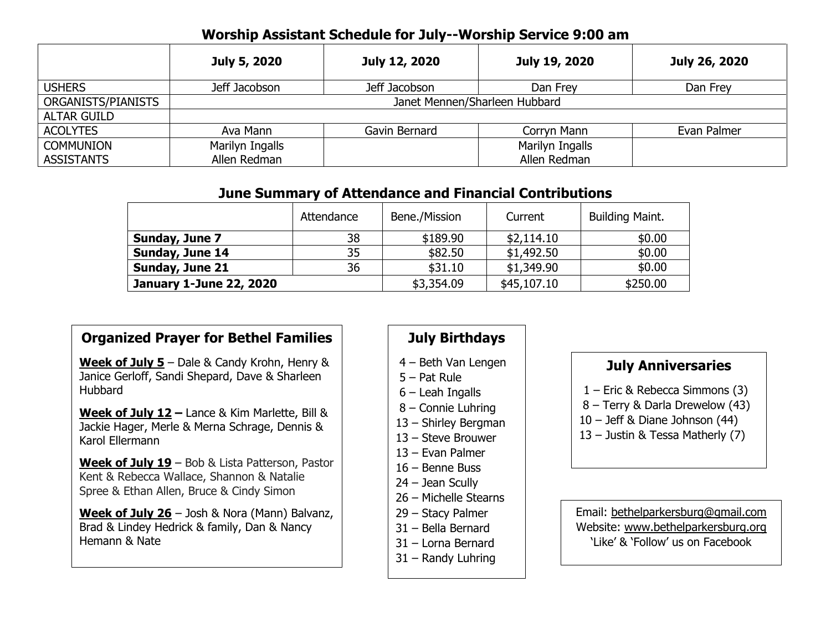## **Worship Assistant Schedule for July--Worship Service 9:00 am**

|                    | July 5, 2020                  | July 12, 2020 | July 19, 2020   | July 26, 2020 |
|--------------------|-------------------------------|---------------|-----------------|---------------|
| <b>USHERS</b>      | Jeff Jacobson                 | Jeff Jacobson | Dan Frey        | Dan Frey      |
| ORGANISTS/PIANISTS | Janet Mennen/Sharleen Hubbard |               |                 |               |
| <b>ALTAR GUILD</b> |                               |               |                 |               |
| <b>ACOLYTES</b>    | Ava Mann                      | Gavin Bernard | Corryn Mann     | Evan Palmer   |
| <b>COMMUNION</b>   | Marilyn Ingalls               |               | Marilyn Ingalls |               |
| <b>ASSISTANTS</b>  | Allen Redman                  |               | Allen Redman    |               |

## **June Summary of Attendance and Financial Contributions**

|                                | Attendance | Bene./Mission | Current     | <b>Building Maint.</b> |
|--------------------------------|------------|---------------|-------------|------------------------|
| Sunday, June 7                 | 38         | \$189.90      | \$2,114.10  | \$0.00                 |
| Sunday, June 14                | 35         | \$82.50       | \$1,492.50  | \$0.00                 |
| Sunday, June 21                | 36         | \$31.10       | \$1,349.90  | \$0.00                 |
| <b>January 1-June 22, 2020</b> |            | \$3,354.09    | \$45,107.10 | \$250.00               |

## **Organized Prayer for Bethel Families**

**Week of July 5** – Dale & Candy Krohn, Henry & Janice Gerloff, Sandi Shepard, Dave & Sharleen Hubbard

**Week of July 12 –** Lance & Kim Marlette, Bill & Jackie Hager, Merle & Merna Schrage, Dennis & Karol Ellermann

**Week of July 19** – Bob & Lista Patterson, Pastor Kent & Rebecca Wallace, Shannon & Natalie Spree & Ethan Allen, Bruce & Cindy Simon

**Week of July 26** – Josh & Nora (Mann) Balvanz, Brad & Lindey Hedrick & family, Dan & Nancy Hemann & Nate

# **July Birthdays**

- 4 Beth Van Lengen
- 5 Pat Rule
- 6 Leah Ingalls
- 8 Connie Luhring
- 13 Shirley Bergman
- 13 Steve Brouwer
- 13 Evan Palmer
- 16 Benne Buss
- 24 Jean Scully
- 26 Michelle Stearns
- 29 Stacy Palmer
- 31 Bella Bernard
- 31 Lorna Bernard
- 31 Randy Luhring

## **July Anniversaries**

- 1 Eric & Rebecca Simmons (3)
- 8 Terry & Darla Drewelow (43)
- 10 Jeff & Diane Johnson (44)
- 13 Justin & Tessa Matherly (7)

Email: bethelparkersburg@gmail.com Website: www.bethelparkersburg.org 'Like' & 'Follow' us on Facebook